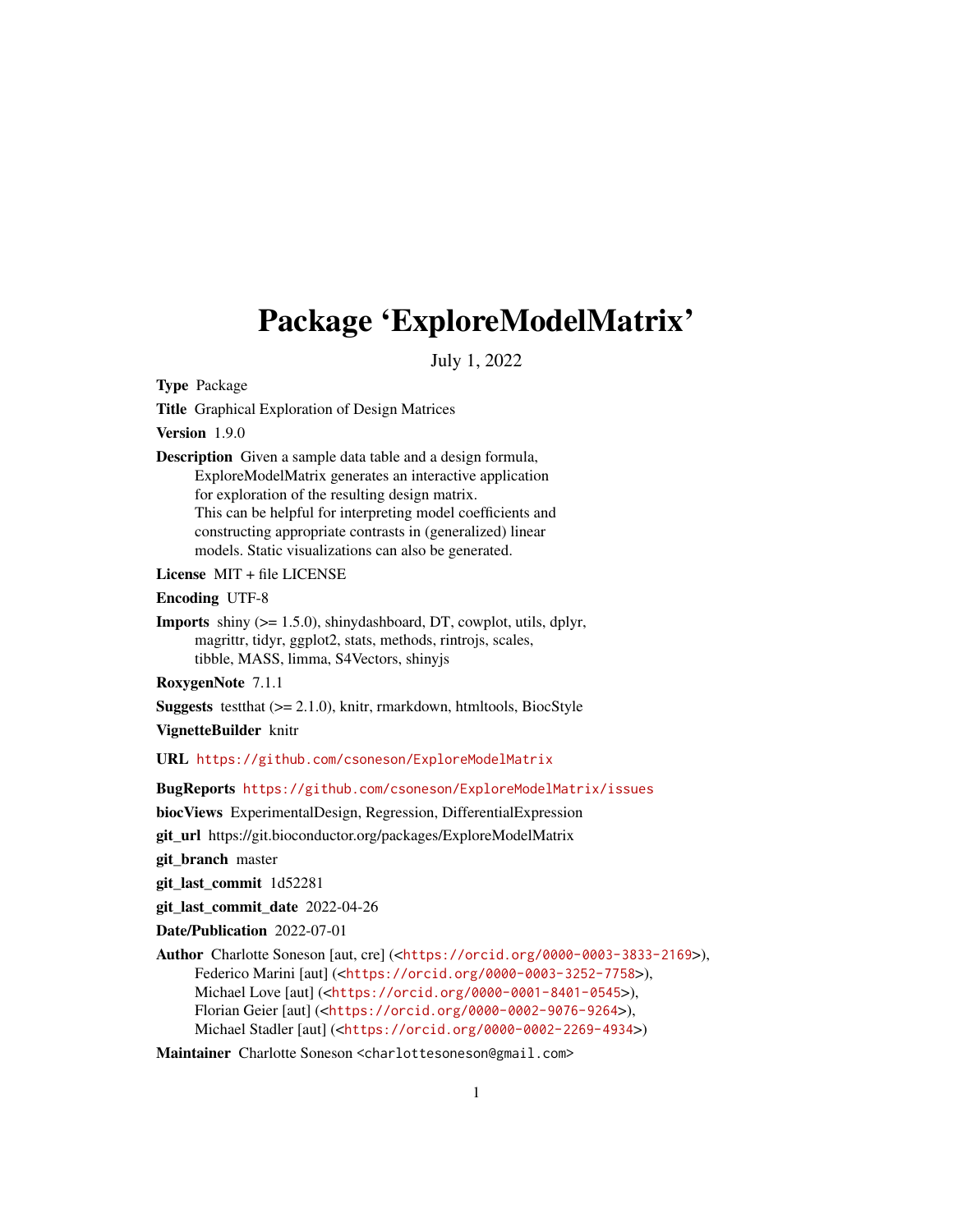## Package 'ExploreModelMatrix'

July 1, 2022

Type Package

Title Graphical Exploration of Design Matrices

Version 1.9.0

Description Given a sample data table and a design formula, ExploreModelMatrix generates an interactive application for exploration of the resulting design matrix. This can be helpful for interpreting model coefficients and constructing appropriate contrasts in (generalized) linear models. Static visualizations can also be generated.

License MIT + file LICENSE

Encoding UTF-8

Imports shiny (>= 1.5.0), shinydashboard, DT, cowplot, utils, dplyr, magrittr, tidyr, ggplot2, stats, methods, rintrojs, scales, tibble, MASS, limma, S4Vectors, shinyjs

RoxygenNote 7.1.1

**Suggests** testthat  $(>= 2.1.0)$ , knitr, rmarkdown, htmltools, BiocStyle

VignetteBuilder knitr

URL <https://github.com/csoneson/ExploreModelMatrix>

BugReports <https://github.com/csoneson/ExploreModelMatrix/issues>

biocViews ExperimentalDesign, Regression, DifferentialExpression

git\_url https://git.bioconductor.org/packages/ExploreModelMatrix

git\_branch master

git\_last\_commit 1d52281

git\_last\_commit\_date 2022-04-26

Date/Publication 2022-07-01

Author Charlotte Soneson [aut, cre] (<<https://orcid.org/0000-0003-3833-2169>>), Federico Marini [aut] (<<https://orcid.org/0000-0003-3252-7758>>), Michael Love [aut] (<<https://orcid.org/0000-0001-8401-0545>>), Florian Geier [aut] (<<https://orcid.org/0000-0002-9076-9264>>), Michael Stadler [aut] (<<https://orcid.org/0000-0002-2269-4934>>)

Maintainer Charlotte Soneson <charlottesoneson@gmail.com>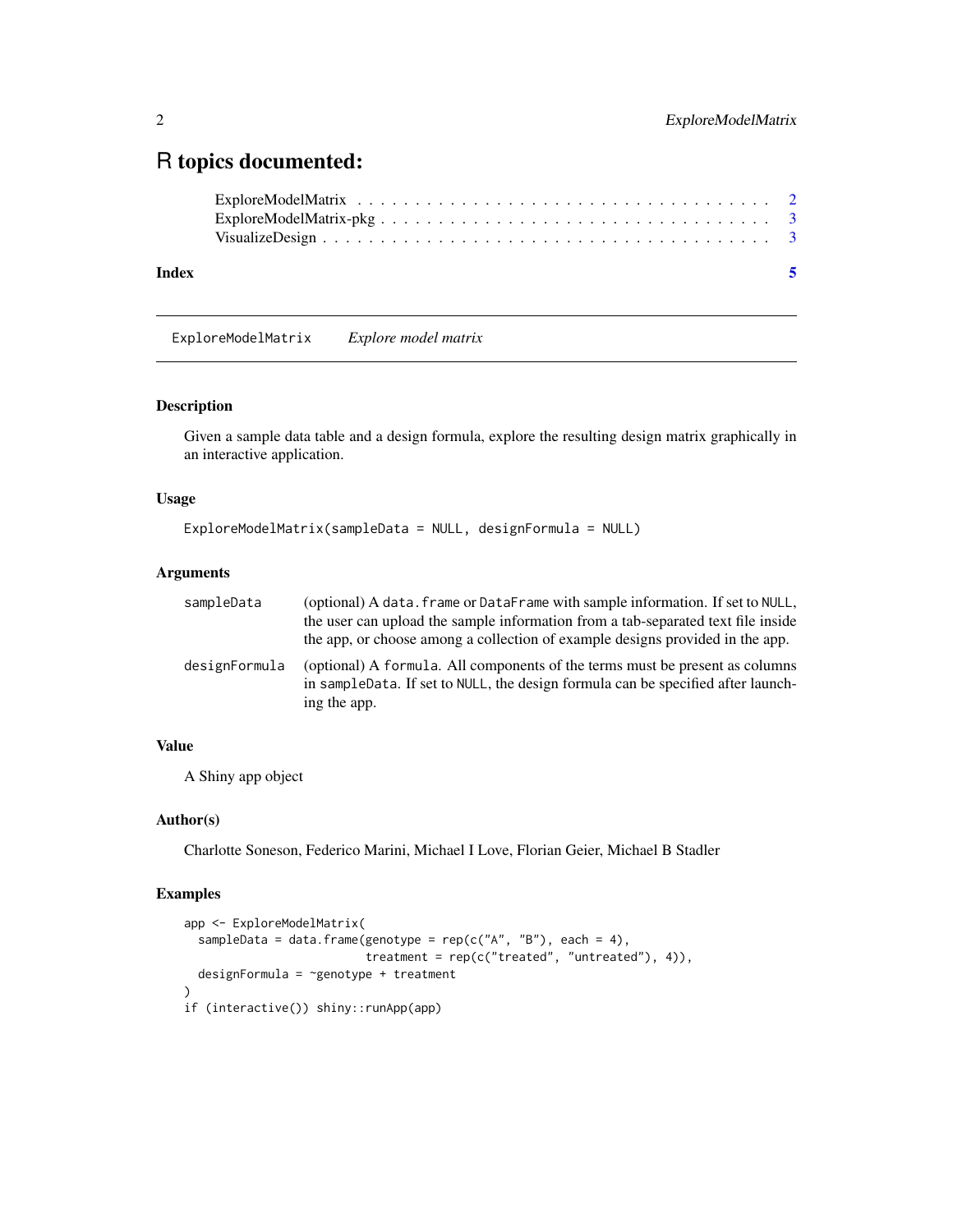### <span id="page-1-0"></span>R topics documented:

| Index | -5 |
|-------|----|
|       |    |
|       |    |
|       |    |

ExploreModelMatrix *Explore model matrix*

#### Description

Given a sample data table and a design formula, explore the resulting design matrix graphically in an interactive application.

#### Usage

```
ExploreModelMatrix(sampleData = NULL, designFormula = NULL)
```
#### Arguments

| sampleData    | (optional) A data. frame or DataFrame with sample information. If set to NULL,<br>the user can upload the sample information from a tab-separated text file inside<br>the app, or choose among a collection of example designs provided in the app. |
|---------------|-----------------------------------------------------------------------------------------------------------------------------------------------------------------------------------------------------------------------------------------------------|
| designFormula | (optional) A formula. All components of the terms must be present as columns<br>in sampleData. If set to NULL, the design formula can be specified after launch-<br>ing the app.                                                                    |

#### Value

A Shiny app object

#### Author(s)

Charlotte Soneson, Federico Marini, Michael I Love, Florian Geier, Michael B Stadler

#### Examples

```
app <- ExploreModelMatrix(
 sampleData = data.frame(genotype = rep(c("A", "B"), each = 4),treatment = rep(c("treated", "untreated"), 4)),
 designFormula = ~genotype + treatment
\lambdaif (interactive()) shiny::runApp(app)
```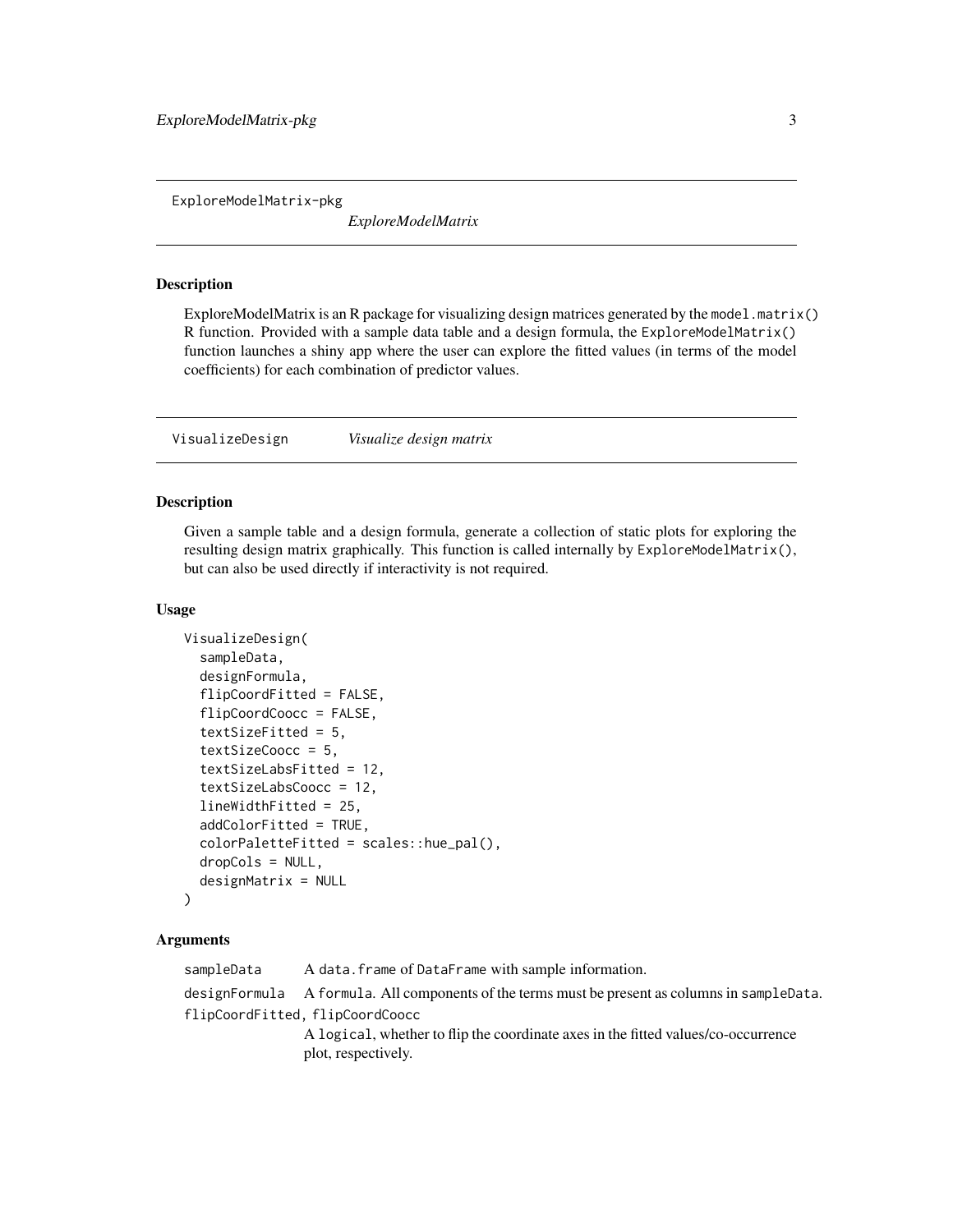<span id="page-2-0"></span>ExploreModelMatrix-pkg

*ExploreModelMatrix*

#### **Description**

ExploreModelMatrix is an R package for visualizing design matrices generated by the model.matrix() R function. Provided with a sample data table and a design formula, the  $ExploreModelMatrix()$ function launches a shiny app where the user can explore the fitted values (in terms of the model coefficients) for each combination of predictor values.

VisualizeDesign *Visualize design matrix*

#### Description

Given a sample table and a design formula, generate a collection of static plots for exploring the resulting design matrix graphically. This function is called internally by ExploreModelMatrix(), but can also be used directly if interactivity is not required.

#### Usage

```
VisualizeDesign(
  sampleData,
  designFormula,
  flipCoordFitted = FALSE,
  flipCoordCoocc = FALSE,
  textSizeFitted = 5,
  textSizeCoocc = 5,
  textSizeLabsFitted = 12,
  textSizeLabsCoocc = 12,
  lineWidthFitted = 25,
  addColorFitted = TRUE,
  colorPaletteFitted = scales::hue_pal(),
  dropCols = NULL,
  designMatrix = NULL
\lambda
```
#### Arguments

sampleData A data.frame of DataFrame with sample information.

designFormula A formula. All components of the terms must be present as columns in sampleData. flipCoordFitted, flipCoordCoocc

> A logical, whether to flip the coordinate axes in the fitted values/co-occurrence plot, respectively.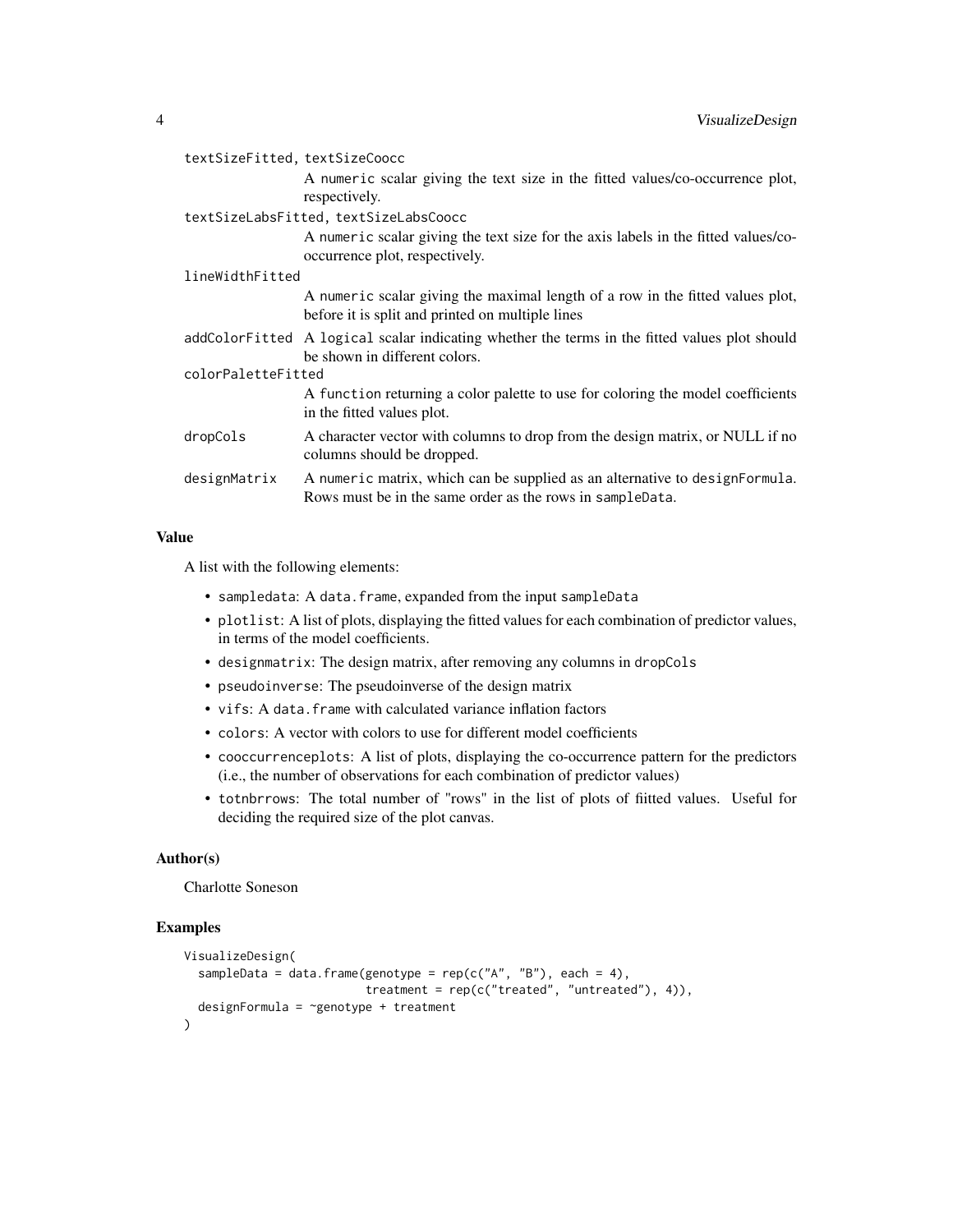| textSizeFitted, textSizeCoocc<br>A numeric scalar giving the text size in the fitted values/co-occurrence plot,<br>respectively.         |  |  |  |
|------------------------------------------------------------------------------------------------------------------------------------------|--|--|--|
| textSizeLabsFitted, textSizeLabsCoocc                                                                                                    |  |  |  |
| A numeric scalar giving the text size for the axis labels in the fitted values/co-<br>occurrence plot, respectively.                     |  |  |  |
| lineWidthFitted                                                                                                                          |  |  |  |
| A numeric scalar giving the maximal length of a row in the fitted values plot,<br>before it is split and printed on multiple lines       |  |  |  |
| addColorFitted A logical scalar indicating whether the terms in the fitted values plot should<br>be shown in different colors.           |  |  |  |
| colorPaletteFitted                                                                                                                       |  |  |  |
| A function returning a color palette to use for coloring the model coefficients<br>in the fitted values plot.                            |  |  |  |
| A character vector with columns to drop from the design matrix, or NULL if no<br>columns should be dropped.                              |  |  |  |
| A numeric matrix, which can be supplied as an alternative to designFormula.<br>Rows must be in the same order as the rows in sampleData. |  |  |  |
|                                                                                                                                          |  |  |  |

#### Value

A list with the following elements:

- sampledata: A data.frame, expanded from the input sampleData
- plotlist: A list of plots, displaying the fitted values for each combination of predictor values, in terms of the model coefficients.
- designmatrix: The design matrix, after removing any columns in dropCols
- pseudoinverse: The pseudoinverse of the design matrix
- vifs: A data.frame with calculated variance inflation factors
- colors: A vector with colors to use for different model coefficients
- cooccurrenceplots: A list of plots, displaying the co-occurrence pattern for the predictors (i.e., the number of observations for each combination of predictor values)
- totnbrrows: The total number of "rows" in the list of plots of fiitted values. Useful for deciding the required size of the plot canvas.

#### Author(s)

Charlotte Soneson

#### Examples

```
VisualizeDesign(
 sampleData = data.frame(genotype = rep(c("A", "B"), each = 4),treatment = rep(c("treated", "untreated"), 4)),
 designFormula = ~genotype + treatment
\mathcal{L}
```